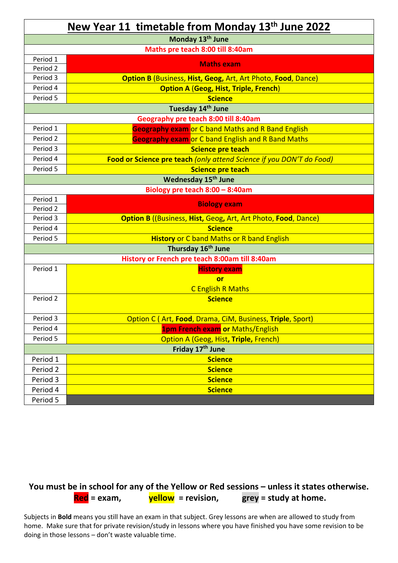| New Year 11 timetable from Monday 13th June 2022 |                                                                      |  |
|--------------------------------------------------|----------------------------------------------------------------------|--|
|                                                  | Monday 13 <sup>th</sup> June                                         |  |
|                                                  | Maths pre teach 8:00 till 8:40am                                     |  |
| Period 1                                         | <b>Maths exam</b>                                                    |  |
| Period 2                                         |                                                                      |  |
| Period 3                                         | <b>Option B</b> (Business, Hist, Geog, Art, Art Photo, Food, Dance)  |  |
| Period 4                                         | <b>Option A (Geog, Hist, Triple, French)</b>                         |  |
| Period 5                                         | <b>Science</b>                                                       |  |
|                                                  | Tuesday 14th June                                                    |  |
|                                                  | Geography pre teach 8:00 till 8:40am                                 |  |
| Period 1                                         | <b>Geography exam or C band Maths and R Band English</b>             |  |
| Period 2                                         | <b>Geography exam</b> or C band English and R Band Maths             |  |
| Period 3                                         | <b>Science pre teach</b>                                             |  |
| Period 4                                         | Food or Science pre teach (only attend Science if you DON'T do Food) |  |
| Period 5                                         | <b>Science pre teach</b>                                             |  |
|                                                  | Wednesday 15 <sup>th</sup> June                                      |  |
|                                                  | Biology pre teach $8:00 - 8:40$ am                                   |  |
| Period 1                                         | <b>Biology exam</b>                                                  |  |
| Period 2                                         |                                                                      |  |
| Period 3                                         | <b>Option B</b> ((Business, Hist, Geog, Art, Art Photo, Food, Dance) |  |
| Period 4                                         | <b>Science</b>                                                       |  |
| Period 5                                         | <b>History or C band Maths or R band English</b>                     |  |
|                                                  | Thursday 16 <sup>th</sup> June                                       |  |
|                                                  | History or French pre teach 8:00am till 8:40am                       |  |
| Period 1                                         | <b>History exam</b>                                                  |  |
|                                                  | <b>or</b>                                                            |  |
|                                                  | <b>C English R Maths</b>                                             |  |
| Period 2                                         | <b>Science</b>                                                       |  |
| Period 3                                         | <b>Option C (Art, Food, Drama, CiM, Business, Triple, Sport)</b>     |  |
| Period 4                                         | <b>1pm French exam or Maths/English</b>                              |  |
| Period 5                                         | Option A (Geog, Hist, Triple, French)                                |  |
|                                                  | Friday 17 <sup>th</sup> June                                         |  |
| Period 1                                         | <b>Science</b>                                                       |  |
| Period 2                                         | <b>Science</b>                                                       |  |
| Period 3                                         | <b>Science</b>                                                       |  |
| Period 4                                         | <b>Science</b>                                                       |  |
| Period 5                                         |                                                                      |  |

## You must be in school for any of the Yellow or Red sessions – unless it states otherwise. **Red = exam, yellow = revision, grey = study at home.**

Subjects in **Bold** means you still have an exam in that subject. Grey lessons are when are allowed to study from home. Make sure that for private revision/study in lessons where you have finished you have some revision to be doing in those lessons – don't waste valuable time.